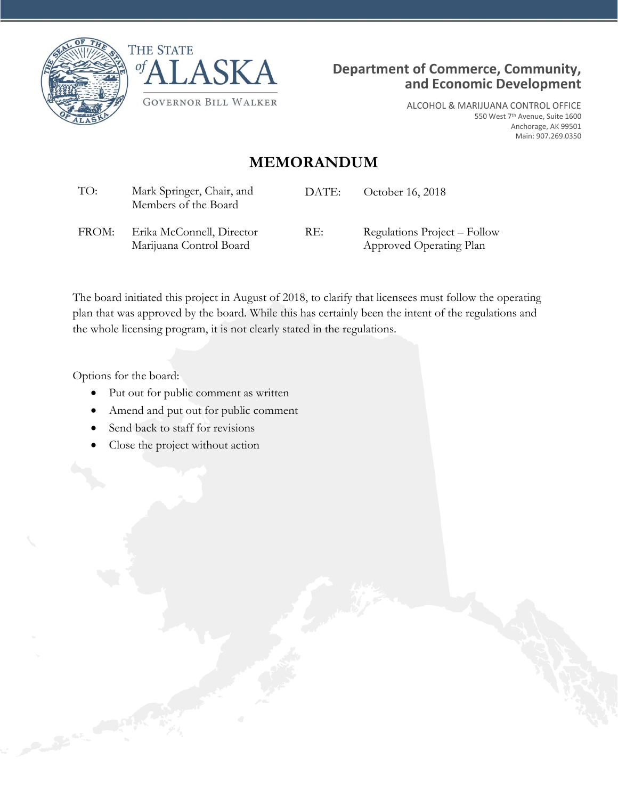





ALCOHOL & MARIJUANA CONTROL OFFICE 550 West 7th Avenue, Suite 1600 Anchorage, AK 99501 Main: 907.269.0350

## **MEMORANDUM**

| TO:   | Mark Springer, Chair, and<br>Members of the Board    | DATE: | October 16, 2018                                        |
|-------|------------------------------------------------------|-------|---------------------------------------------------------|
| FROM: | Erika McConnell, Director<br>Marijuana Control Board | RE:   | Regulations Project – Follow<br>Approved Operating Plan |

The board initiated this project in August of 2018, to clarify that licensees must follow the operating plan that was approved by the board. While this has certainly been the intent of the regulations and the whole licensing program, it is not clearly stated in the regulations.

Options for the board:

- Put out for public comment as written
- Amend and put out for public comment
- Send back to staff for revisions
- Close the project without action